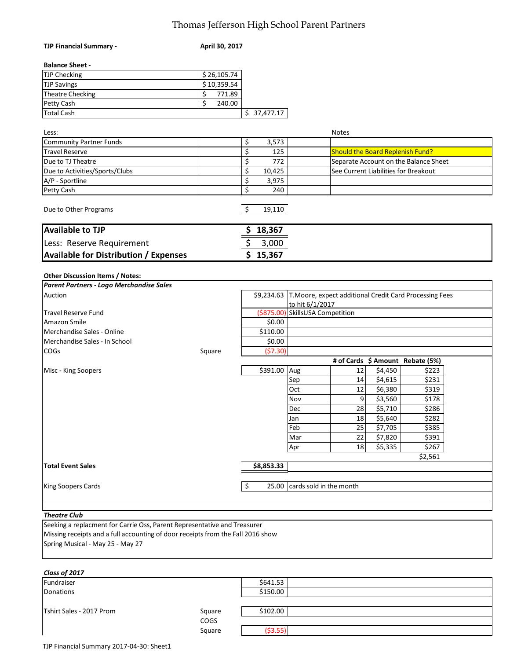## Thomas Jefferson High School Parent Partners

| <b>TJP Financial Summary -</b>                                                  | April 30, 2017          |                                        |                                          |                                                        |
|---------------------------------------------------------------------------------|-------------------------|----------------------------------------|------------------------------------------|--------------------------------------------------------|
| <b>Balance Sheet -</b>                                                          |                         |                                        |                                          |                                                        |
| <b>TJP Checking</b>                                                             | \$26,105.74             |                                        |                                          |                                                        |
| <b>TJP Savings</b>                                                              | $\overline{$}10,359.54$ |                                        |                                          |                                                        |
| Theatre Checking                                                                | \$<br>771.89            |                                        |                                          |                                                        |
| Petty Cash                                                                      | \$<br>240.00            |                                        |                                          |                                                        |
| <b>Total Cash</b>                                                               |                         | \$37,477.17                            |                                          |                                                        |
|                                                                                 |                         |                                        |                                          |                                                        |
| Less:                                                                           |                         |                                        |                                          | <b>Notes</b>                                           |
| Community Partner Funds                                                         |                         | \$<br>3,573                            |                                          |                                                        |
| Travel Reserve                                                                  |                         | \$<br>125                              |                                          | <b>Should the Board Replenish Fund?</b>                |
| Due to TJ Theatre                                                               |                         | \$<br>772                              |                                          | Separate Account on the Balance Sheet                  |
| Due to Activities/Sports/Clubs                                                  |                         | \$<br>10,425                           |                                          | See Current Liabilities for Breakout                   |
| A/P - Sportline                                                                 |                         | \$<br>3,975                            |                                          |                                                        |
| Petty Cash                                                                      |                         | \$<br>240                              |                                          |                                                        |
| Due to Other Programs                                                           |                         | \$<br>19,110                           |                                          |                                                        |
| <b>Available to TJP</b>                                                         |                         | 18,367                                 |                                          |                                                        |
| Less: Reserve Requirement                                                       |                         | 3,000                                  |                                          |                                                        |
| <b>Available for Distribution / Expenses</b>                                    |                         | \$<br>15,367                           |                                          |                                                        |
|                                                                                 |                         |                                        |                                          |                                                        |
| <b>Other Discussion Items / Notes:</b>                                          |                         |                                        |                                          |                                                        |
| Parent Partners - Logo Merchandise Sales                                        |                         |                                        |                                          |                                                        |
| Auction                                                                         |                         | \$9,234.63                             |                                          | T.Moore, expect additional Credit Card Processing Fees |
| <b>Travel Reserve Fund</b>                                                      |                         | ( \$875.00)                            | to hit 6/1/2017<br>SkillsUSA Competition |                                                        |
| Amazon Smile                                                                    |                         | \$0.00                                 |                                          |                                                        |
| Merchandise Sales - Online                                                      |                         | \$110.00                               |                                          |                                                        |
| Merchandise Sales - In School                                                   |                         | \$0.00                                 |                                          |                                                        |
| <b>COGs</b>                                                                     | Square                  | (57.30)                                |                                          |                                                        |
|                                                                                 |                         |                                        |                                          | # of Cards \$ Amount Rebate (5%)                       |
| Misc - King Soopers                                                             |                         | \$391.00                               | Aug                                      | 12<br>\$223<br>\$4,450                                 |
|                                                                                 |                         |                                        | Sep                                      | \$231<br>\$4,615<br>14                                 |
|                                                                                 |                         |                                        | Oct                                      | 12<br>\$6,380<br>\$319                                 |
|                                                                                 |                         |                                        | Nov                                      | 9<br>\$3,560<br>\$178                                  |
|                                                                                 |                         |                                        | Dec                                      | 28<br>\$5,710<br>\$286                                 |
|                                                                                 |                         |                                        | Jan                                      | 18<br>\$5,640<br>\$282                                 |
|                                                                                 |                         |                                        | Feb                                      | \$7,705<br>25<br>\$385                                 |
|                                                                                 |                         |                                        | Mar                                      | \$7,820<br>\$391<br>22                                 |
|                                                                                 |                         |                                        | Apr                                      | \$5,335<br>\$267<br>18                                 |
|                                                                                 |                         |                                        |                                          | \$2,561                                                |
| <b>Total Event Sales</b>                                                        |                         | \$8,853.33                             |                                          |                                                        |
| King Soopers Cards                                                              |                         |                                        |                                          |                                                        |
|                                                                                 |                         | \$<br>cards sold in the month<br>25.00 |                                          |                                                        |
|                                                                                 |                         |                                        |                                          |                                                        |
| <b>Theatre Club</b>                                                             |                         |                                        |                                          |                                                        |
| Seeking a replacment for Carrie Oss, Parent Representative and Treasurer        |                         |                                        |                                          |                                                        |
| Missing receipts and a full accounting of door receipts from the Fall 2016 show |                         |                                        |                                          |                                                        |
| Spring Musical - May 25 - May 27                                                |                         |                                        |                                          |                                                        |
|                                                                                 |                         |                                        |                                          |                                                        |
| Class of 2017                                                                   |                         |                                        |                                          |                                                        |
| Fundraiser                                                                      |                         | \$641.53                               |                                          |                                                        |
| <b>Donations</b>                                                                |                         | \$150.00                               |                                          |                                                        |
|                                                                                 |                         |                                        |                                          |                                                        |
| Tshirt Sales - 2017 Prom                                                        | Square                  | \$102.00                               |                                          |                                                        |

COGS<br>Square

 $(53.55)$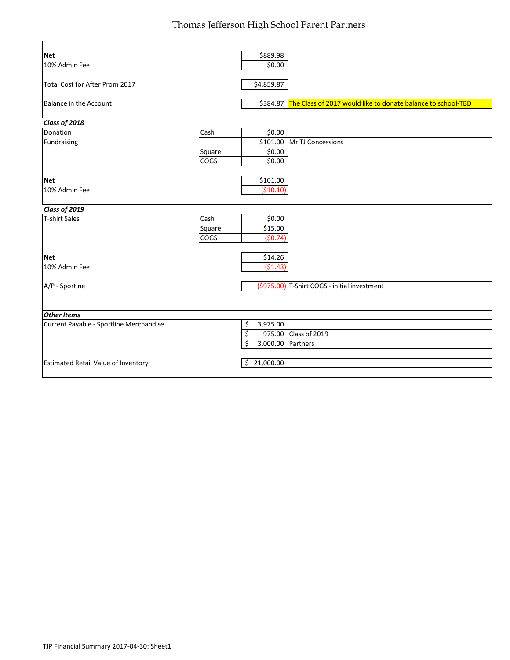## Thomas Jefferson High School Parent Partners

| <b>Net</b>                              |        | \$889.98        |                                                                       |
|-----------------------------------------|--------|-----------------|-----------------------------------------------------------------------|
| 10% Admin Fee                           |        | \$0.00          |                                                                       |
| Total Cost for After Prom 2017          |        | \$4,859.87      |                                                                       |
| Balance in the Account                  |        |                 | \$384.87 The Class of 2017 would like to donate balance to school-TBD |
| Class of 2018                           |        |                 |                                                                       |
| Donation                                | Cash   | \$0.00          |                                                                       |
| Fundraising                             |        | \$101.00        | Mr TJ Concessions                                                     |
|                                         | Square | \$0.00          |                                                                       |
|                                         | COGS   | \$0.00          |                                                                       |
| <b>Net</b>                              |        | \$101.00        |                                                                       |
| 10% Admin Fee                           |        | (\$10.10)       |                                                                       |
| Class of 2019                           |        |                 |                                                                       |
| T-shirt Sales                           | Cash   | \$0.00          |                                                                       |
|                                         | Square | \$15.00         |                                                                       |
|                                         | COGS   | (50.74)         |                                                                       |
| <b>Net</b>                              |        | \$14.26         |                                                                       |
| 10% Admin Fee                           |        | (51.43)         |                                                                       |
| A/P - Sportine                          |        |                 | (\$975.00) T-Shirt COGS - initial investment                          |
|                                         |        |                 |                                                                       |
| <b>Other Items</b>                      |        |                 |                                                                       |
| Current Payable - Sportline Merchandise |        | 3,975.00<br>\$  |                                                                       |
|                                         |        | \$<br>975.00    | Class of 2019                                                         |
|                                         |        | Ś<br>3,000.00   | Partners                                                              |
|                                         |        |                 |                                                                       |
| Estimated Retail Value of Inventory     |        | 21,000.00<br>\$ |                                                                       |

 $\mathbf{r}$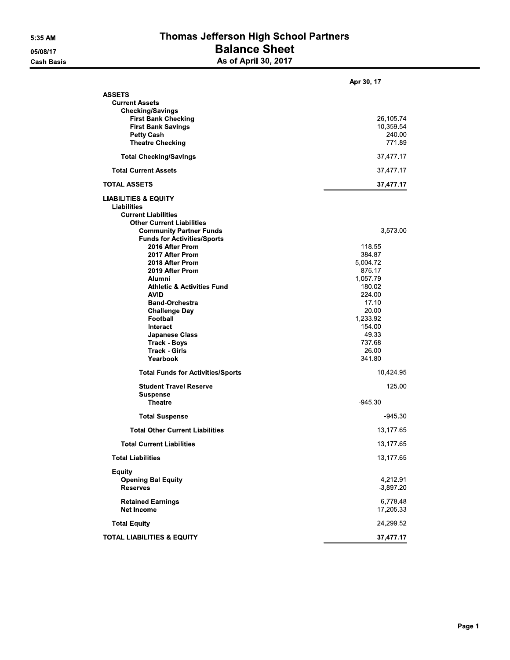# Thomas Jefferson High School Partners **Balance Sheet**<br>As of April 30, 2017

|                                                                                                                                                                                                                                                                                                                                                                                                                                    | Apr 30, 17                                                                                                                                                                  |
|------------------------------------------------------------------------------------------------------------------------------------------------------------------------------------------------------------------------------------------------------------------------------------------------------------------------------------------------------------------------------------------------------------------------------------|-----------------------------------------------------------------------------------------------------------------------------------------------------------------------------|
| <b>ASSETS</b><br><b>Current Assets</b><br><b>Checking/Savings</b><br><b>First Bank Checking</b><br><b>First Bank Savings</b><br><b>Petty Cash</b><br><b>Theatre Checking</b>                                                                                                                                                                                                                                                       | 26,105.74<br>10,359 54<br>240.00<br>771.89                                                                                                                                  |
| <b>Total Checking/Savings</b>                                                                                                                                                                                                                                                                                                                                                                                                      | 37,477.17                                                                                                                                                                   |
| <b>Total Current Assets</b>                                                                                                                                                                                                                                                                                                                                                                                                        | 37,477.17                                                                                                                                                                   |
| <b>TOTAL ASSETS</b>                                                                                                                                                                                                                                                                                                                                                                                                                | 37,477.17                                                                                                                                                                   |
| <b>LIABILITIES &amp; EQUITY</b><br>Liabilities<br><b>Current Liabilities</b><br><b>Other Current Liabilities</b><br><b>Community Partner Funds</b>                                                                                                                                                                                                                                                                                 | 3,573.00                                                                                                                                                                    |
| <b>Funds for Activities/Sports</b><br>2016 After Prom<br>2017 After Prom<br>2018 After Prom<br>2019 After Prom<br>Alumni<br><b>Athletic &amp; Activities Fund</b><br><b>AVID</b><br><b>Band-Orchestra</b><br><b>Challenge Day</b><br>Football<br>Interact<br><b>Japanese Class</b><br>Track Boys<br><b>Track Girls</b><br>Yearbook<br><b>Total Funds for Activities/Sports</b><br><b>Student Travel Reserve</b><br><b>Suspense</b> | 118.55<br>384.87<br>5,004.72<br>875.17<br>1,057.79<br>180.02<br>224.00<br>17.10<br>20.00<br>1,233.92<br>154,00<br>49.33<br>737.68<br>26.00<br>341.80<br>10,424.95<br>125.00 |
| <b>Theatre</b>                                                                                                                                                                                                                                                                                                                                                                                                                     | -945.30                                                                                                                                                                     |
| <b>Total Suspense</b><br><b>Total Other Current Liabilities</b>                                                                                                                                                                                                                                                                                                                                                                    | -945.30<br>13.177 65                                                                                                                                                        |
|                                                                                                                                                                                                                                                                                                                                                                                                                                    |                                                                                                                                                                             |
| <b>Total Current Liabilities</b><br><b>Total Liabilities</b>                                                                                                                                                                                                                                                                                                                                                                       | 13,177 65                                                                                                                                                                   |
| <b>Equity</b><br><b>Opening Bal Equity</b><br><b>Reserves</b><br><b>Retained Earnings</b>                                                                                                                                                                                                                                                                                                                                          | 13,177.65<br>4,212.91<br>$-3,897.20$<br>6,778.48                                                                                                                            |
| <b>Net Income</b>                                                                                                                                                                                                                                                                                                                                                                                                                  | 17,205.33                                                                                                                                                                   |
| <b>Total Equity</b>                                                                                                                                                                                                                                                                                                                                                                                                                | 24,299.52                                                                                                                                                                   |
| <b>TOTAL LIABILITIES &amp; EQUITY</b>                                                                                                                                                                                                                                                                                                                                                                                              | 37,477.17                                                                                                                                                                   |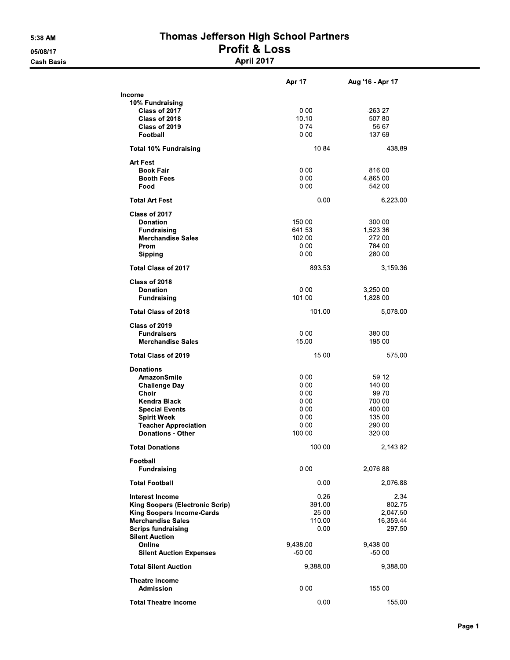### Thomas Jefferson High School Partners **Profit & Loss April 2017**

|                                        | Apr 17   | Aug '16 - Apr 17 |
|----------------------------------------|----------|------------------|
| Income                                 |          |                  |
| 10% Fundraising                        |          |                  |
| Class of 2017                          | 0.00     | $-263.27$        |
| Class of 2018                          | 10 10    | 507.80           |
| Class of 2019                          | 0.74     | 56.67            |
| Football                               | 0.00     | 137.69           |
| <b>Total 10% Fundraising</b>           | 10.84    | 438.89           |
| <b>Art Fest</b>                        |          |                  |
| <b>Book Fair</b>                       | 0.00     | 816.00           |
| <b>Booth Fees</b>                      | 0.00     | 4,865.00         |
| Food                                   | 0.00     | 542.00           |
| <b>Total Art Fest</b>                  | 0.00     | 6,223.00         |
| Class of 2017                          |          |                  |
| <b>Donation</b>                        | 150.00   | 300.00           |
| <b>Fundraising</b>                     | 641 53   | 1,523.36         |
| <b>Merchandise Sales</b>               | 102.00   | 272.00           |
| Prom                                   | 0.00     | 784.00           |
| Sipping                                | 0.00     | 280.00           |
| <b>Total Class of 2017</b>             | 893.53   | 3,159.36         |
| Class of 2018                          |          |                  |
| <b>Donation</b>                        | 0.00     | 3,250.00         |
| <b>Fundraising</b>                     | 101.00   | 1,828.00         |
| <b>Total Class of 2018</b>             | 101.00   | 5,078.00         |
| Class of 2019                          |          |                  |
| <b>Fundraisers</b>                     | 0.00     | 380,00           |
| <b>Merchandise Sales</b>               | 15.00    | 195.00           |
| <b>Total Class of 2019</b>             | 15.00    | 575.00           |
| <b>Donations</b>                       |          |                  |
| AmazonSmile                            | 0.00     | 59 12            |
| <b>Challenge Day</b>                   | 0.00     | 140.00           |
| Choir                                  | 0.00     | 99.70            |
| <b>Kendra Black</b>                    | 0.00     | 700.00           |
| <b>Special Events</b>                  | 0.00     | 400.00           |
| <b>Spirit Week</b>                     | 0.00     | 135.00           |
| <b>Teacher Appreciation</b>            | 0.00     | 290.00           |
| <b>Donations - Other</b>               | 100.00   | 320.00           |
| <b>Total Donations</b>                 | 100.00   | 2,143.82         |
| Football                               |          |                  |
| <b>Fundraising</b>                     | 0.00     | 2,076.88         |
| <b>Total Football</b>                  | 0.00     | 2,076.88         |
| <b>Interest Income</b>                 | 0.26     | 2.34             |
| <b>King Soopers (Electronic Scrip)</b> | 391.00   | 802.75           |
| <b>King Soopers Income-Cards</b>       | 25.00    | 2,047.50         |
| <b>Merchandise Sales</b>               | 110.00   | 16,359.44        |
| <b>Scrips fundraising</b>              | 0.00     | 297.50           |
| <b>Silent Auction</b>                  |          |                  |
| Online                                 | 9.438.00 | 9,438.00         |
| <b>Silent Auction Expenses</b>         | $-50.00$ | $-50.00$         |
| <b>Total Silent Auction</b>            | 9,388.00 | 9,388.00         |
| <b>Theatre Income</b>                  |          |                  |
| Admission                              | 0.00     | 155.00           |
|                                        |          |                  |

**Total Theatre Income** 

 $0.00$ 

155.00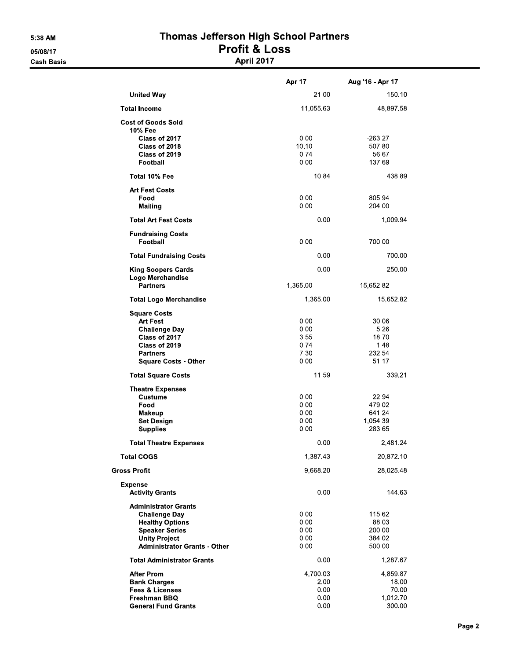# Thomas Jefferson High School Partners Profit & Loss<br>April 2017

|                                                                                                                                                                       | Apr 17                                       | Aug '16 - Apr 17                                  |
|-----------------------------------------------------------------------------------------------------------------------------------------------------------------------|----------------------------------------------|---------------------------------------------------|
| <b>United Way</b>                                                                                                                                                     | 21.00                                        | 150 10                                            |
| <b>Total Income</b>                                                                                                                                                   | 11,055.63                                    | 48,897 58                                         |
| <b>Cost of Goods Sold</b>                                                                                                                                             |                                              |                                                   |
| 10% Fee<br>Class of 2017<br>Class of 2018<br>Class of 2019<br>Football                                                                                                | 0.00<br>10.10<br>0.74<br>0.00                | $-263.27$<br>507.80<br>56.67<br>137.69            |
| Total 10% Fee                                                                                                                                                         | 10.84                                        | 438.89                                            |
| <b>Art Fest Costs</b><br>Food<br>Mailing                                                                                                                              | 0.00<br>0.00                                 | 805.94<br>204.00                                  |
| <b>Total Art Fest Costs</b>                                                                                                                                           | 0.00                                         | 1,009.94                                          |
| <b>Fundraising Costs</b><br>Football                                                                                                                                  | 0.00                                         | 700.00                                            |
| <b>Total Fundraising Costs</b>                                                                                                                                        | 0.00                                         | 700.00                                            |
| King Soopers Cards<br>Logo Merchandise                                                                                                                                | 0.00                                         | 250.00                                            |
| <b>Partners</b>                                                                                                                                                       | 1,365.00                                     | 15,652.82                                         |
| <b>Total Logo Merchandise</b>                                                                                                                                         | 1,365.00                                     | 15,652.82                                         |
| <b>Square Costs</b><br><b>Art Fest</b><br><b>Challenge Day</b><br>Class of 2017<br>Class of 2019<br><b>Partners</b><br><b>Square Costs - Other</b>                    | 0.00<br>0.00<br>3.55<br>0.74<br>7 30<br>0.00 | 30.06<br>5.26<br>18.70<br>1.48<br>232.54<br>51.17 |
| <b>Total Square Costs</b>                                                                                                                                             | 11 59                                        | 339 21                                            |
| <b>Theatre Expenses</b><br><b>Custume</b><br>Food<br>Makeup<br><b>Set Design</b><br><b>Supplies</b>                                                                   | 0.00<br>0.00<br>0.00<br>0.00<br>0.00         | 22.94<br>479.02<br>641.24<br>1,054.39<br>283.65   |
| <b>Total Theatre Expenses</b>                                                                                                                                         | 0.00                                         | 2,481.24                                          |
| <b>Total COGS</b>                                                                                                                                                     | 1,387 43                                     | 20,872.10                                         |
| <b>Gross Profit</b>                                                                                                                                                   | 9,668.20                                     | 28,025.48                                         |
| <b>Expense</b><br><b>Activity Grants</b>                                                                                                                              | 0.00                                         | 144.63                                            |
| <b>Administrator Grants</b><br><b>Challenge Day</b><br><b>Healthy Options</b><br><b>Speaker Series</b><br><b>Unity Project</b><br><b>Administrator Grants - Other</b> | 0.00<br>0.00<br>0.00<br>0.00<br>0.00         | 115.62<br>88.03<br>200.00<br>384.02<br>500.00     |
| <b>Total Administrator Grants</b>                                                                                                                                     | 0.00                                         | 1,287.67                                          |
| <b>After Prom</b><br><b>Bank Charges</b><br><b>Fees &amp; Licenses</b><br>Freshman BBQ<br><b>General Fund Grants</b>                                                  | 4,700.03<br>2.00<br>0.00<br>0.00<br>0.00     | 4,859.87<br>18.00<br>70.00<br>1,012.70<br>300.00  |